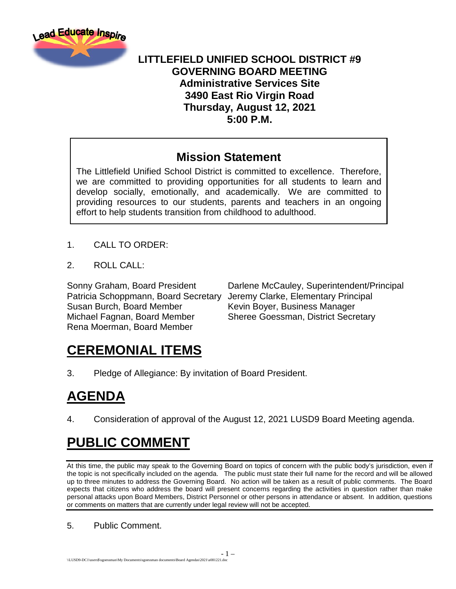

#### **LITTLEFIELD UNIFIED SCHOOL DISTRICT #9 GOVERNING BOARD MEETING Administrative Services Site 3490 East Rio Virgin Road Thursday, August 12, 2021 5:00 P.M.**

#### **Mission Statement**

The Littlefield Unified School District is committed to excellence. Therefore, we are committed to providing opportunities for all students to learn and develop socially, emotionally, and academically. We are committed to providing resources to our students, parents and teachers in an ongoing effort to help students transition from childhood to adulthood.

- 1. CALL TO ORDER:
- 2. ROLL CALL:

Patricia Schoppmann, Board Secretary Jeremy Clarke, Elementary Principal Susan Burch, Board Member Kevin Boyer, Business Manager Michael Fagnan, Board Member Sheree Goessman, District Secretary Rena Moerman, Board Member

Sonny Graham, Board President Darlene McCauley, Superintendent/Principal

## **CEREMONIAL ITEMS**

3. Pledge of Allegiance: By invitation of Board President.

## **AGENDA**

4. Consideration of approval of the August 12, 2021 LUSD9 Board Meeting agenda.

## **PUBLIC COMMENT**

At this time, the public may speak to the Governing Board on topics of concern with the public body's jurisdiction, even if the topic is not specifically included on the agenda. The public must state their full name for the record and will be allowed up to three minutes to address the Governing Board. No action will be taken as a result of public comments. The Board expects that citizens who address the board will present concerns regarding the activities in question rather than make personal attacks upon Board Members, District Personnel or other persons in attendance or absent. In addition, questions or comments on matters that are currently under legal review will not be accepted.

- 1 –

#### 5. Public Comment.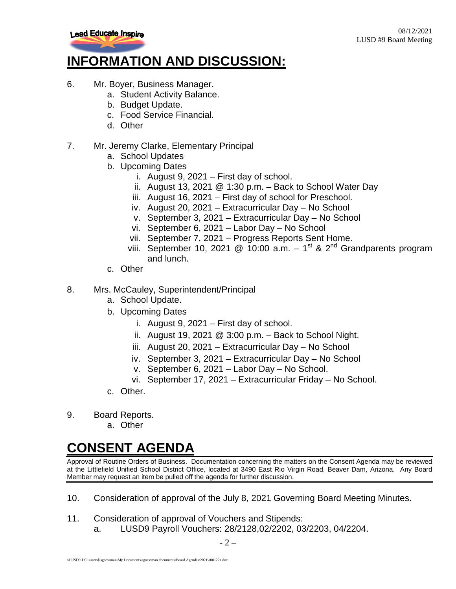

## **INFORMATION AND DISCUSSION:**

- 6. Mr. Boyer, Business Manager.
	- a. Student Activity Balance.
	- b. Budget Update.
	- c. Food Service Financial.
	- d. Other
- 7. Mr. Jeremy Clarke, Elementary Principal
	- a. School Updates
	- b. Upcoming Dates
		- i. August 9, 2021 First day of school.
		- ii. August 13, 2021  $\omega$  1:30 p.m. Back to School Water Day
		- iii. August 16, 2021 First day of school for Preschool.
		- iv. August 20, 2021 Extracurricular Day No School
		- v. September 3, 2021 Extracurricular Day No School
		- vi. September 6, 2021 Labor Day No School
		- vii. September 7, 2021 Progress Reports Sent Home.
		- viii. September 10, 2021 @ 10:00 a.m.  $-1^{st}$  & 2<sup>nd</sup> Grandparents program and lunch.
	- c. Other
- 8. Mrs. McCauley, Superintendent/Principal
	- a. School Update.
	- b. Upcoming Dates
		- i. August 9, 2021 First day of school.
		- ii. August 19, 2021  $@$  3:00 p.m.  $-$  Back to School Night.
		- iii. August 20, 2021 Extracurricular Day No School
		- iv. September 3, 2021 Extracurricular Day No School
		- v. September 6, 2021 Labor Day No School.
		- vi. September 17, 2021 Extracurricular Friday No School.
	- c. Other.
- 9. Board Reports.
	- a. Other

# **CONSENT AGENDA**

Approval of Routine Orders of Business. Documentation concerning the matters on the Consent Agenda may be reviewed at the Littlefield Unified School District Office, located at 3490 East Rio Virgin Road, Beaver Dam, Arizona. Any Board Member may request an item be pulled off the agenda for further discussion.

- 10. Consideration of approval of the July 8, 2021 Governing Board Meeting Minutes.
- 11. Consideration of approval of Vouchers and Stipends:
	- a. LUSD9 Payroll Vouchers: 28/2128,02/2202, 03/2203, 04/2204.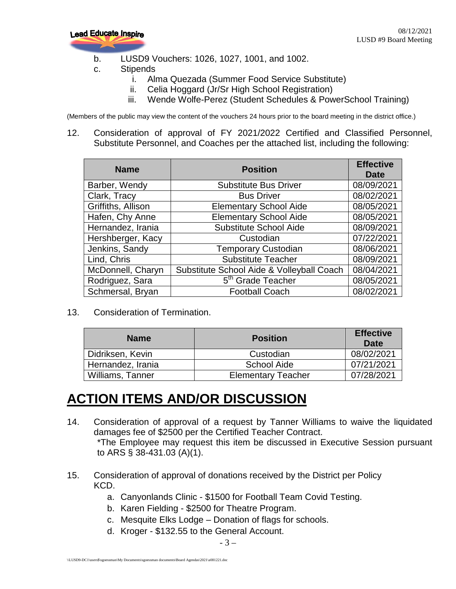

- b. LUSD9 Vouchers: 1026, 1027, 1001, and 1002.
- c. Stipends
	- i. Alma Quezada (Summer Food Service Substitute)
	- ii. Celia Hoggard (Jr/Sr High School Registration)
	- iii. Wende Wolfe-Perez (Student Schedules & PowerSchool Training)

(Members of the public may view the content of the vouchers 24 hours prior to the board meeting in the district office.)

12. Consideration of approval of FY 2021/2022 Certified and Classified Personnel, Substitute Personnel, and Coaches per the attached list, including the following:

| <b>Name</b>        | <b>Position</b>                           | <b>Effective</b><br><b>Date</b> |
|--------------------|-------------------------------------------|---------------------------------|
| Barber, Wendy      | <b>Substitute Bus Driver</b>              | 08/09/2021                      |
| Clark, Tracy       | <b>Bus Driver</b>                         | 08/02/2021                      |
| Griffiths, Allison | <b>Elementary School Aide</b>             | 08/05/2021                      |
| Hafen, Chy Anne    | <b>Elementary School Aide</b>             | 08/05/2021                      |
| Hernandez, Irania  | <b>Substitute School Aide</b>             | 08/09/2021                      |
| Hershberger, Kacy  | Custodian                                 | 07/22/2021                      |
| Jenkins, Sandy     | <b>Temporary Custodian</b>                | 08/06/2021                      |
| Lind, Chris        | <b>Substitute Teacher</b>                 | 08/09/2021                      |
| McDonnell, Charyn  | Substitute School Aide & Volleyball Coach | 08/04/2021                      |
| Rodriguez, Sara    | 5 <sup>th</sup> Grade Teacher             | 08/05/2021                      |
| Schmersal, Bryan   | <b>Football Coach</b>                     | 08/02/2021                      |

13. Consideration of Termination.

| <b>Name</b>       | <b>Position</b>           | <b>Effective</b><br>Date |
|-------------------|---------------------------|--------------------------|
| Didriksen, Kevin  | Custodian                 | 08/02/2021               |
| Hernandez, Irania | <b>School Aide</b>        | 07/21/2021               |
| Williams, Tanner  | <b>Elementary Teacher</b> | 07/28/2021               |

#### **ACTION ITEMS AND/OR DISCUSSION**

- 14. Consideration of approval of a request by Tanner Williams to waive the liquidated damages fee of \$2500 per the Certified Teacher Contract. \*The Employee may request this item be discussed in Executive Session pursuant to ARS § 38-431.03 (A)(1).
- 15. Consideration of approval of donations received by the District per Policy KCD.
	- a. Canyonlands Clinic \$1500 for Football Team Covid Testing.
	- b. Karen Fielding \$2500 for Theatre Program.
	- c. Mesquite Elks Lodge Donation of flags for schools.
	- d. Kroger \$132.55 to the General Account.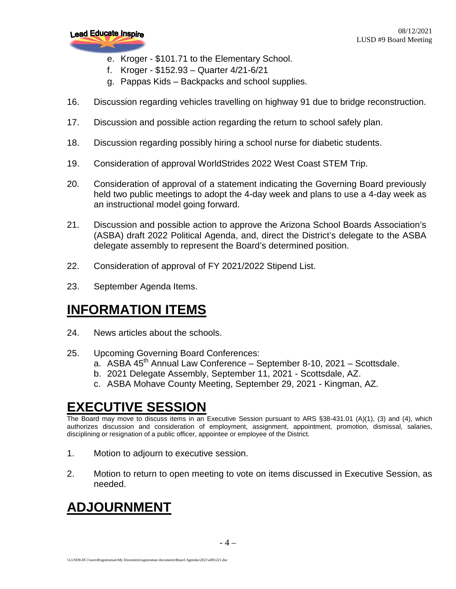

- e. Kroger \$101.71 to the Elementary School.
- f. Kroger \$152.93 Quarter 4/21-6/21
- g. Pappas Kids Backpacks and school supplies.
- 16. Discussion regarding vehicles travelling on highway 91 due to bridge reconstruction.
- 17. Discussion and possible action regarding the return to school safely plan.
- 18. Discussion regarding possibly hiring a school nurse for diabetic students.
- 19. Consideration of approval WorldStrides 2022 West Coast STEM Trip.
- 20. Consideration of approval of a statement indicating the Governing Board previously held two public meetings to adopt the 4-day week and plans to use a 4-day week as an instructional model going forward.
- 21. Discussion and possible action to approve the Arizona School Boards Association's (ASBA) draft 2022 Political Agenda, and, direct the District's delegate to the ASBA delegate assembly to represent the Board's determined position.
- 22. Consideration of approval of FY 2021/2022 Stipend List.
- 23. September Agenda Items.

#### **INFORMATION ITEMS**

- 24. News articles about the schools.
- 25. Upcoming Governing Board Conferences:
	- a. ASBA 45<sup>th</sup> Annual Law Conference September 8-10, 2021 Scottsdale.
	- b. 2021 Delegate Assembly, September 11, 2021 Scottsdale, AZ.
	- c. ASBA Mohave County Meeting, September 29, 2021 Kingman, AZ.

#### **EXECUTIVE SESSION**

The Board may move to discuss items in an Executive Session pursuant to ARS §38-431.01 (A)(1), (3) and (4), which authorizes discussion and consideration of employment, assignment, appointment, promotion, dismissal, salaries, disciplining or resignation of a public officer, appointee or employee of the District.

- 1. Motion to adjourn to executive session.
- 2. Motion to return to open meeting to vote on items discussed in Executive Session, as needed.

### **ADJOURNMENT**